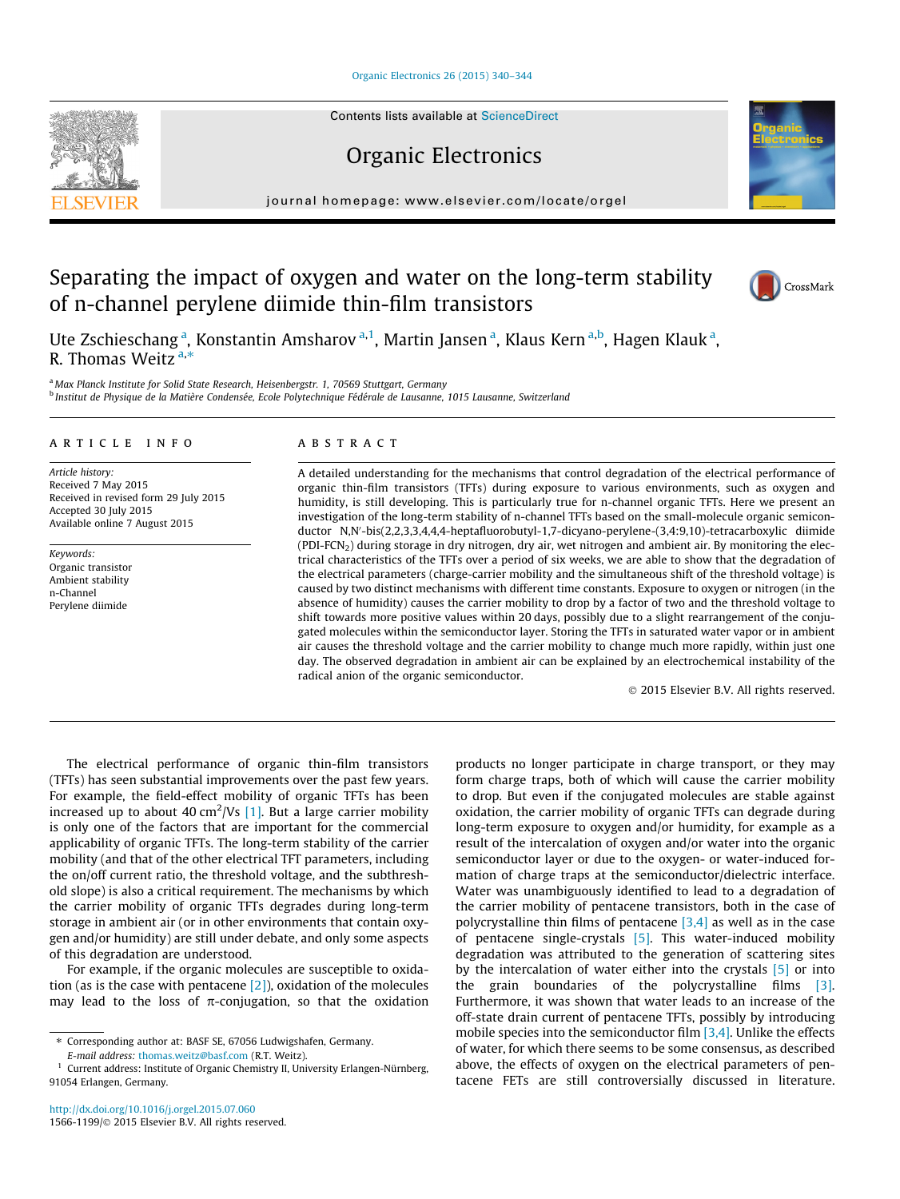# [Organic Electronics 26 \(2015\) 340–344](http://dx.doi.org/10.1016/j.orgel.2015.07.060)

Contents lists available at [ScienceDirect](http://www.sciencedirect.com/science/journal/15661199)

Organic Electronics

journal homepage: [www.elsevier.com/locate/orgel](http://www.elsevier.com/locate/orgel)

# Separating the impact of oxygen and water on the long-term stability of n-channel perylene diimide thin-film transistors

Ute Zschieschang <sup>a</sup>, Konstantin Amsharov <sup>a, 1</sup>, Martin Jansen <sup>a</sup>, Klaus Kern <sup>a,b</sup>, Hagen Klauk <sup>a</sup>, R. Thomas Weitz  $a,*$ 

<sup>a</sup> Max Planck Institute for Solid State Research, Heisenbergstr. 1, 70569 Stuttgart, Germany <sup>b</sup> Institut de Physique de la Matière Condensée, Ecole Polytechnique Fédérale de Lausanne, 1015 Lausanne, Switzerland

# article info

Article history: Received 7 May 2015 Received in revised form 29 July 2015 Accepted 30 July 2015 Available online 7 August 2015

Keywords: Organic transistor Ambient stability n-Channel Perylene diimide

# ABSTRACT

A detailed understanding for the mechanisms that control degradation of the electrical performance of organic thin-film transistors (TFTs) during exposure to various environments, such as oxygen and humidity, is still developing. This is particularly true for n-channel organic TFTs. Here we present an investigation of the long-term stability of n-channel TFTs based on the small-molecule organic semiconductor N,N'-bis(2,2,3,3,4,4,4-heptafluorobutyl-1,7-dicyano-perylene-(3,4:9,10)-tetracarboxylic diimide (PDI-FCN<sub>2</sub>) during storage in dry nitrogen, dry air, wet nitrogen and ambient air. By monitoring the electrical characteristics of the TFTs over a period of six weeks, we are able to show that the degradation of the electrical parameters (charge-carrier mobility and the simultaneous shift of the threshold voltage) is caused by two distinct mechanisms with different time constants. Exposure to oxygen or nitrogen (in the absence of humidity) causes the carrier mobility to drop by a factor of two and the threshold voltage to shift towards more positive values within 20 days, possibly due to a slight rearrangement of the conjugated molecules within the semiconductor layer. Storing the TFTs in saturated water vapor or in ambient air causes the threshold voltage and the carrier mobility to change much more rapidly, within just one day. The observed degradation in ambient air can be explained by an electrochemical instability of the radical anion of the organic semiconductor.

- 2015 Elsevier B.V. All rights reserved.

The electrical performance of organic thin-film transistors (TFTs) has seen substantial improvements over the past few years. For example, the field-effect mobility of organic TFTs has been increased up to about 40 cm<sup>2</sup>/Vs  $[1]$ . But a large carrier mobility is only one of the factors that are important for the commercial applicability of organic TFTs. The long-term stability of the carrier mobility (and that of the other electrical TFT parameters, including the on/off current ratio, the threshold voltage, and the subthreshold slope) is also a critical requirement. The mechanisms by which the carrier mobility of organic TFTs degrades during long-term storage in ambient air (or in other environments that contain oxygen and/or humidity) are still under debate, and only some aspects of this degradation are understood.

For example, if the organic molecules are susceptible to oxidation (as is the case with pentacene  $[2]$ ), oxidation of the molecules may lead to the loss of  $\pi$ -conjugation, so that the oxidation

E-mail address: [thomas.weitz@basf.com](mailto:thomas.weitz@basf.com) (R.T. Weitz).

products no longer participate in charge transport, or they may form charge traps, both of which will cause the carrier mobility to drop. But even if the conjugated molecules are stable against oxidation, the carrier mobility of organic TFTs can degrade during long-term exposure to oxygen and/or humidity, for example as a result of the intercalation of oxygen and/or water into the organic semiconductor layer or due to the oxygen- or water-induced formation of charge traps at the semiconductor/dielectric interface. Water was unambiguously identified to lead to a degradation of the carrier mobility of pentacene transistors, both in the case of polycrystalline thin films of pentacene  $[3,4]$  as well as in the case of pentacene single-crystals  $[5]$ . This water-induced mobility degradation was attributed to the generation of scattering sites by the intercalation of water either into the crystals [\[5\]](#page-4-0) or into the grain boundaries of the polycrystalline films [\[3\].](#page-4-0) Furthermore, it was shown that water leads to an increase of the off-state drain current of pentacene TFTs, possibly by introducing mobile species into the semiconductor film  $[3,4]$ . Unlike the effects of water, for which there seems to be some consensus, as described above, the effects of oxygen on the electrical parameters of pentacene FETs are still controversially discussed in literature.





CrossMark

<sup>⇑</sup> Corresponding author at: BASF SE, 67056 Ludwigshafen, Germany.

 $1$  Current address: Institute of Organic Chemistry II, University Erlangen-Nürnberg, 91054 Erlangen, Germany.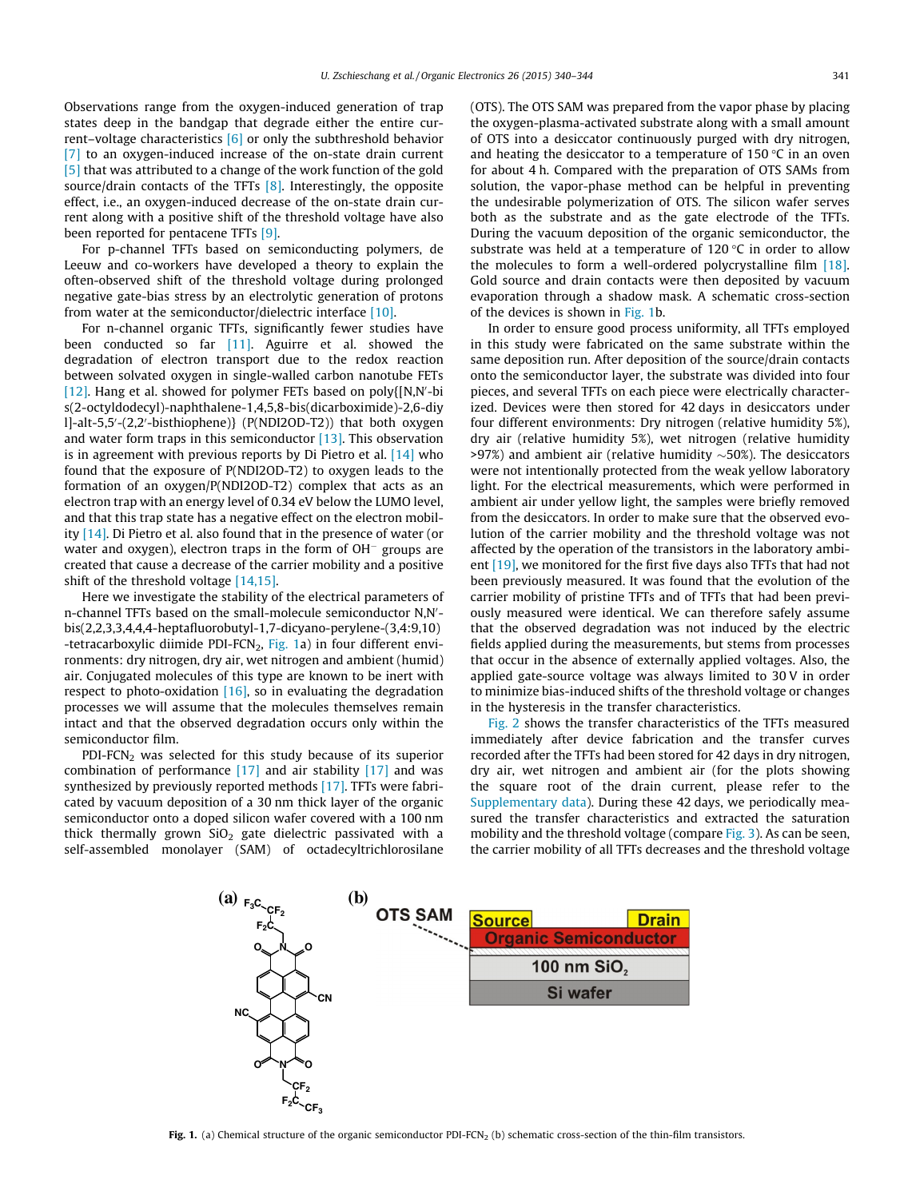Observations range from the oxygen-induced generation of trap states deep in the bandgap that degrade either the entire current–voltage characteristics [\[6\]](#page-4-0) or only the subthreshold behavior [\[7\]](#page-4-0) to an oxygen-induced increase of the on-state drain current [\[5\]](#page-4-0) that was attributed to a change of the work function of the gold source/drain contacts of the TFTs [\[8\].](#page-4-0) Interestingly, the opposite effect, i.e., an oxygen-induced decrease of the on-state drain current along with a positive shift of the threshold voltage have also been reported for pentacene TFTs [\[9\].](#page-4-0)

For p-channel TFTs based on semiconducting polymers, de Leeuw and co-workers have developed a theory to explain the often-observed shift of the threshold voltage during prolonged negative gate-bias stress by an electrolytic generation of protons from water at the semiconductor/dielectric interface [\[10\].](#page-4-0)

For n-channel organic TFTs, significantly fewer studies have been conducted so far [\[11\]](#page-4-0). Aguirre et al. showed the degradation of electron transport due to the redox reaction between solvated oxygen in single-walled carbon nanotube FETs  $[12]$ . Hang et al. showed for polymer FETs based on poly ${N,N$ -bi s(2-octyldodecyl)-naphthalene-1,4,5,8-bis(dicarboximide)-2,6-diy l]-alt-5,5'-(2,2'-bisthiophene)} (P(NDI2OD-T2)) that both oxygen and water form traps in this semiconductor  $[13]$ . This observation is in agreement with previous reports by Di Pietro et al. [\[14\]](#page-4-0) who found that the exposure of P(NDI2OD-T2) to oxygen leads to the formation of an oxygen/P(NDI2OD-T2) complex that acts as an electron trap with an energy level of 0.34 eV below the LUMO level, and that this trap state has a negative effect on the electron mobility  $[14]$ . Di Pietro et al. also found that in the presence of water (or water and oxygen), electron traps in the form of  $OH^-$  groups are created that cause a decrease of the carrier mobility and a positive shift of the threshold voltage [\[14,15\].](#page-4-0)

Here we investigate the stability of the electrical parameters of n-channel TFTs based on the small-molecule semiconductor N,N'bis(2,2,3,3,4,4,4-heptafluorobutyl-1,7-dicyano-perylene-(3,4:9,10) -tetracarboxylic diimide PDI-FCN<sub>2</sub>, Fig. 1a) in four different environments: dry nitrogen, dry air, wet nitrogen and ambient (humid) air. Conjugated molecules of this type are known to be inert with respect to photo-oxidation  $[16]$ , so in evaluating the degradation processes we will assume that the molecules themselves remain intact and that the observed degradation occurs only within the semiconductor film.

PDI-FCN<sub>2</sub> was selected for this study because of its superior combination of performance  $[17]$  and air stability  $[17]$  and was synthesized by previously reported methods [\[17\]](#page-4-0). TFTs were fabricated by vacuum deposition of a 30 nm thick layer of the organic semiconductor onto a doped silicon wafer covered with a 100 nm thick thermally grown  $SiO<sub>2</sub>$  gate dielectric passivated with a self-assembled monolayer (SAM) of octadecyltrichlorosilane (OTS). The OTS SAM was prepared from the vapor phase by placing the oxygen-plasma-activated substrate along with a small amount of OTS into a desiccator continuously purged with dry nitrogen, and heating the desiccator to a temperature of 150  $\degree$ C in an oven for about 4 h. Compared with the preparation of OTS SAMs from solution, the vapor-phase method can be helpful in preventing the undesirable polymerization of OTS. The silicon wafer serves both as the substrate and as the gate electrode of the TFTs. During the vacuum deposition of the organic semiconductor, the substrate was held at a temperature of 120 $\degree$ C in order to allow the molecules to form a well-ordered polycrystalline film [\[18\].](#page-4-0) Gold source and drain contacts were then deposited by vacuum evaporation through a shadow mask. A schematic cross-section of the devices is shown in Fig. 1b.

In order to ensure good process uniformity, all TFTs employed in this study were fabricated on the same substrate within the same deposition run. After deposition of the source/drain contacts onto the semiconductor layer, the substrate was divided into four pieces, and several TFTs on each piece were electrically characterized. Devices were then stored for 42 days in desiccators under four different environments: Dry nitrogen (relative humidity 5%), dry air (relative humidity 5%), wet nitrogen (relative humidity  $>97\%$ ) and ambient air (relative humidity  $\sim$  50%). The desiccators were not intentionally protected from the weak yellow laboratory light. For the electrical measurements, which were performed in ambient air under yellow light, the samples were briefly removed from the desiccators. In order to make sure that the observed evolution of the carrier mobility and the threshold voltage was not affected by the operation of the transistors in the laboratory ambi-ent [\[19\]](#page-4-0), we monitored for the first five days also TFTs that had not been previously measured. It was found that the evolution of the carrier mobility of pristine TFTs and of TFTs that had been previously measured were identical. We can therefore safely assume that the observed degradation was not induced by the electric fields applied during the measurements, but stems from processes that occur in the absence of externally applied voltages. Also, the applied gate-source voltage was always limited to 30 V in order to minimize bias-induced shifts of the threshold voltage or changes in the hysteresis in the transfer characteristics.

[Fig. 2](#page-2-0) shows the transfer characteristics of the TFTs measured immediately after device fabrication and the transfer curves recorded after the TFTs had been stored for 42 days in dry nitrogen, dry air, wet nitrogen and ambient air (for the plots showing the square root of the drain current, please refer to the Supplementary data). During these 42 days, we periodically measured the transfer characteristics and extracted the saturation mobility and the threshold voltage (compare [Fig. 3](#page-3-0)). As can be seen, the carrier mobility of all TFTs decreases and the threshold voltage



Fig. 1. (a) Chemical structure of the organic semiconductor PDI-FCN<sub>2</sub> (b) schematic cross-section of the thin-film transistors.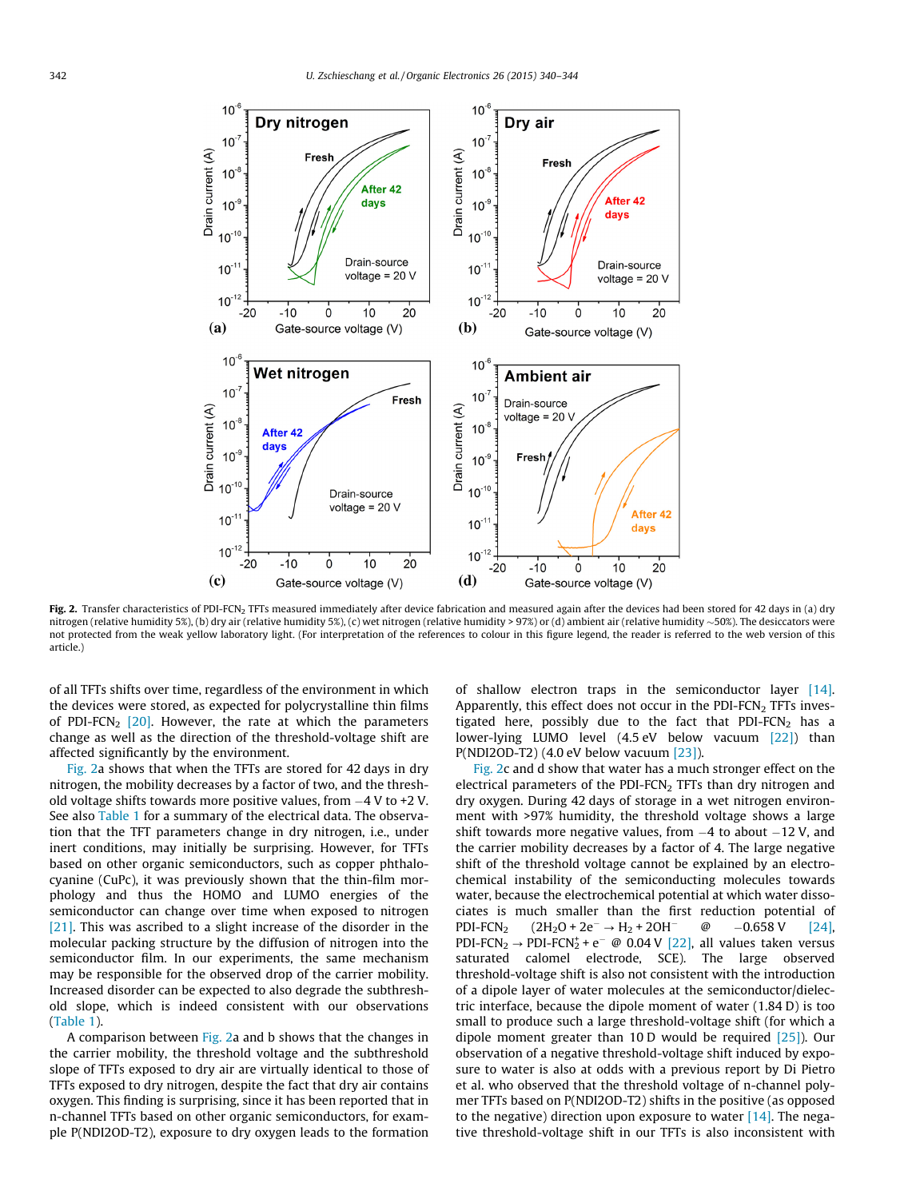<span id="page-2-0"></span>

Fig. 2. Transfer characteristics of PDI-FCN<sub>2</sub> TFTs measured immediately after device fabrication and measured again after the devices had been stored for 42 days in (a) dry nitrogen (relative humidity 5%), (b) dry air (relative humidity 5%), (c) wet nitrogen (relative humidity > 97%) or (d) ambient air (relative humidity 50%). The desiccators were not protected from the weak yellow laboratory light. (For interpretation of the references to colour in this figure legend, the reader is referred to the web version of this article.)

of all TFTs shifts over time, regardless of the environment in which the devices were stored, as expected for polycrystalline thin films of PDI-FCN<sub>2</sub>  $[20]$ . However, the rate at which the parameters change as well as the direction of the threshold-voltage shift are affected significantly by the environment.

Fig. 2a shows that when the TFTs are stored for 42 days in dry nitrogen, the mobility decreases by a factor of two, and the threshold voltage shifts towards more positive values, from -4 V to +2 V. See also [Table 1](#page-3-0) for a summary of the electrical data. The observation that the TFT parameters change in dry nitrogen, i.e., under inert conditions, may initially be surprising. However, for TFTs based on other organic semiconductors, such as copper phthalocyanine (CuPc), it was previously shown that the thin-film morphology and thus the HOMO and LUMO energies of the semiconductor can change over time when exposed to nitrogen [\[21\]](#page-4-0). This was ascribed to a slight increase of the disorder in the molecular packing structure by the diffusion of nitrogen into the semiconductor film. In our experiments, the same mechanism may be responsible for the observed drop of the carrier mobility. Increased disorder can be expected to also degrade the subthreshold slope, which is indeed consistent with our observations ([Table 1](#page-3-0)).

A comparison between Fig. 2a and b shows that the changes in the carrier mobility, the threshold voltage and the subthreshold slope of TFTs exposed to dry air are virtually identical to those of TFTs exposed to dry nitrogen, despite the fact that dry air contains oxygen. This finding is surprising, since it has been reported that in n-channel TFTs based on other organic semiconductors, for example P(NDI2OD-T2), exposure to dry oxygen leads to the formation of shallow electron traps in the semiconductor layer [\[14\].](#page-4-0) Apparently, this effect does not occur in the PDI-FCN<sub>2</sub> TFTs investigated here, possibly due to the fact that PDI-FCN<sub>2</sub> has a lower-lying LUMO level (4.5 eV below vacuum [\[22\]](#page-4-0)) than P(NDI2OD-T2) (4.0 eV below vacuum [\[23\]](#page-4-0)).

Fig. 2c and d show that water has a much stronger effect on the electrical parameters of the PDI-FCN $_2$  TFTs than dry nitrogen and dry oxygen. During 42 days of storage in a wet nitrogen environment with >97% humidity, the threshold voltage shows a large shift towards more negative values, from  $-4$  to about  $-12$  V, and the carrier mobility decreases by a factor of 4. The large negative shift of the threshold voltage cannot be explained by an electrochemical instability of the semiconducting molecules towards water, because the electrochemical potential at which water dissociates is much smaller than the first reduction potential of  $PDI-FCN_2$  (2H<sub>2</sub>O + 2e<sup>-</sup>  $\rightarrow$  H<sub>2</sub> + 2OH<sup>-</sup>  $@$  $-0.658$  V [\[24\],](#page-4-0) PDI-FCN<sub>2</sub>  $\rightarrow$  PDI-FCN<sub>2</sub><sup>+</sup> e<sup>-</sup> @ 0.04 V [\[22\],](#page-4-0) all values taken versus saturated calomel electrode, SCE). The large observed threshold-voltage shift is also not consistent with the introduction of a dipole layer of water molecules at the semiconductor/dielectric interface, because the dipole moment of water (1.84 D) is too small to produce such a large threshold-voltage shift (for which a dipole moment greater than 10 D would be required [\[25\]\)](#page-4-0). Our observation of a negative threshold-voltage shift induced by exposure to water is also at odds with a previous report by Di Pietro et al. who observed that the threshold voltage of n-channel polymer TFTs based on P(NDI2OD-T2) shifts in the positive (as opposed to the negative) direction upon exposure to water  $[14]$ . The negative threshold-voltage shift in our TFTs is also inconsistent with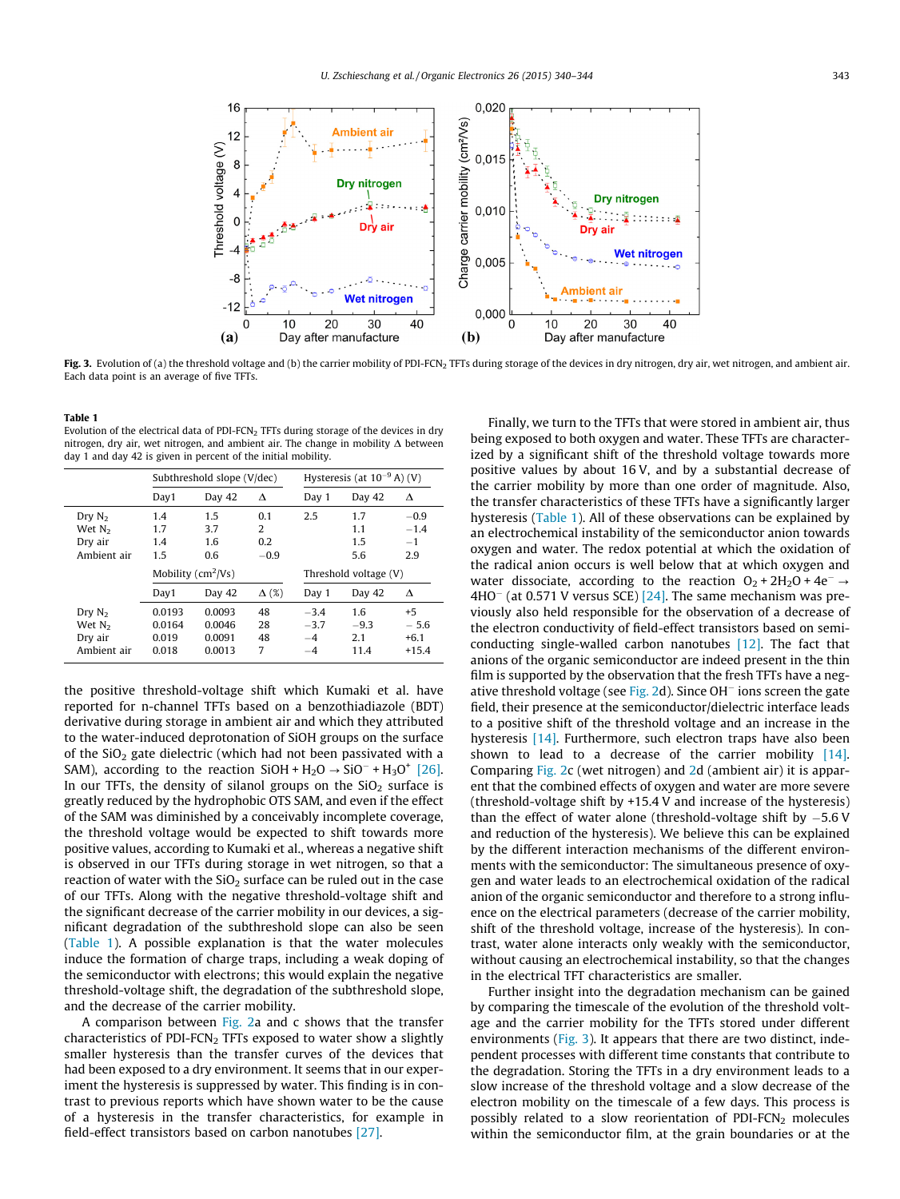<span id="page-3-0"></span>

Fig. 3. Evolution of (a) the threshold voltage and (b) the carrier mobility of PDI-FCN<sub>2</sub> TFTs during storage of the devices in dry nitrogen, dry air, wet nitrogen, and ambient air. Each data point is an average of five TFTs.

#### Table 1

Evolution of the electrical data of PDI-FCN<sub>2</sub> TFTs during storage of the devices in dry nitrogen, dry air, wet nitrogen, and ambient air. The change in mobility  $\Delta$  between day 1 and day 42 is given in percent of the initial mobility.

|                                                          | Subthreshold slope (V/dec)                             |                          |                           | Hysteresis (at $10^{-9}$ A) (V)               |                          |                                 |
|----------------------------------------------------------|--------------------------------------------------------|--------------------------|---------------------------|-----------------------------------------------|--------------------------|---------------------------------|
|                                                          | Day1                                                   | Day 42                   | Δ                         | Day 1                                         | Day 42                   | Δ                               |
| Drv N <sub>2</sub><br>Wet $N2$<br>Dry air<br>Ambient air | 1.4<br>1.7<br>1.4<br>1.5                               | 1.5<br>3.7<br>1.6<br>0.6 | 0.1<br>2<br>0.2<br>$-0.9$ | 2.5                                           | 1.7<br>1.1<br>1.5<br>5.6 | $-0.9$<br>$-1.4$<br>$-1$<br>2.9 |
|                                                          | Mobility $(cm^2/Vs)$<br>$\Delta$ (%)<br>Day 42<br>Day1 |                          |                           | Threshold voltage (V)<br>Day 1<br>Day 42<br>Δ |                          |                                 |
|                                                          |                                                        |                          |                           |                                               |                          |                                 |

the positive threshold-voltage shift which Kumaki et al. have reported for n-channel TFTs based on a benzothiadiazole (BDT) derivative during storage in ambient air and which they attributed to the water-induced deprotonation of SiOH groups on the surface of the  $SiO<sub>2</sub>$  gate dielectric (which had not been passivated with a SAM), according to the reaction  $SiOH + H_2O \rightarrow SiO^- + H_3O^+$  [\[26\].](#page-4-0) In our TFTs, the density of silanol groups on the  $SiO<sub>2</sub>$  surface is greatly reduced by the hydrophobic OTS SAM, and even if the effect of the SAM was diminished by a conceivably incomplete coverage, the threshold voltage would be expected to shift towards more positive values, according to Kumaki et al., whereas a negative shift is observed in our TFTs during storage in wet nitrogen, so that a reaction of water with the  $SiO<sub>2</sub>$  surface can be ruled out in the case of our TFTs. Along with the negative threshold-voltage shift and the significant decrease of the carrier mobility in our devices, a significant degradation of the subthreshold slope can also be seen (Table 1). A possible explanation is that the water molecules induce the formation of charge traps, including a weak doping of the semiconductor with electrons; this would explain the negative threshold-voltage shift, the degradation of the subthreshold slope, and the decrease of the carrier mobility.

A comparison between [Fig. 2a](#page-2-0) and c shows that the transfer characteristics of PDI-FCN<sub>2</sub> TFTs exposed to water show a slightly smaller hysteresis than the transfer curves of the devices that had been exposed to a dry environment. It seems that in our experiment the hysteresis is suppressed by water. This finding is in contrast to previous reports which have shown water to be the cause of a hysteresis in the transfer characteristics, for example in field-effect transistors based on carbon nanotubes [\[27\]](#page-4-0).

Finally, we turn to the TFTs that were stored in ambient air, thus being exposed to both oxygen and water. These TFTs are characterized by a significant shift of the threshold voltage towards more positive values by about 16 V, and by a substantial decrease of the carrier mobility by more than one order of magnitude. Also, the transfer characteristics of these TFTs have a significantly larger hysteresis (Table 1). All of these observations can be explained by an electrochemical instability of the semiconductor anion towards oxygen and water. The redox potential at which the oxidation of the radical anion occurs is well below that at which oxygen and water dissociate, according to the reaction  $O_2 + 2H_2O + 4e^- \rightarrow$  $4HO^-$  (at 0.571 V versus SCE) [\[24\].](#page-4-0) The same mechanism was previously also held responsible for the observation of a decrease of the electron conductivity of field-effect transistors based on semiconducting single-walled carbon nanotubes [\[12\].](#page-4-0) The fact that anions of the organic semiconductor are indeed present in the thin film is supported by the observation that the fresh TFTs have a neg-ative threshold voltage (see [Fig. 2](#page-2-0)d). Since OH<sup>-</sup> ions screen the gate field, their presence at the semiconductor/dielectric interface leads to a positive shift of the threshold voltage and an increase in the hysteresis [\[14\]](#page-4-0). Furthermore, such electron traps have also been shown to lead to a decrease of the carrier mobility  $[14]$ . Comparing [Fig. 2c](#page-2-0) (wet nitrogen) and [2](#page-2-0)d (ambient air) it is apparent that the combined effects of oxygen and water are more severe (threshold-voltage shift by +15.4 V and increase of the hysteresis) than the effect of water alone (threshold-voltage shift by  $-5.6$  V and reduction of the hysteresis). We believe this can be explained by the different interaction mechanisms of the different environments with the semiconductor: The simultaneous presence of oxygen and water leads to an electrochemical oxidation of the radical anion of the organic semiconductor and therefore to a strong influence on the electrical parameters (decrease of the carrier mobility, shift of the threshold voltage, increase of the hysteresis). In contrast, water alone interacts only weakly with the semiconductor, without causing an electrochemical instability, so that the changes in the electrical TFT characteristics are smaller.

Further insight into the degradation mechanism can be gained by comparing the timescale of the evolution of the threshold voltage and the carrier mobility for the TFTs stored under different environments (Fig. 3). It appears that there are two distinct, independent processes with different time constants that contribute to the degradation. Storing the TFTs in a dry environment leads to a slow increase of the threshold voltage and a slow decrease of the electron mobility on the timescale of a few days. This process is possibly related to a slow reorientation of PDI-FCN<sub>2</sub> molecules within the semiconductor film, at the grain boundaries or at the